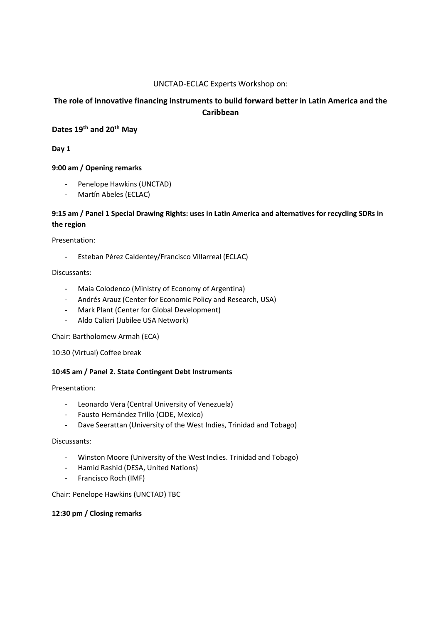### UNCTAD-ECLAC Experts Workshop on:

# The role of innovative financing instruments to build forward better in Latin America and the Caribbean

# Dates 19<sup>th</sup> and 20<sup>th</sup> May

Day 1

### 9:00 am / Opening remarks

- Penelope Hawkins (UNCTAD)
- Martín Abeles (ECLAC)

# 9:15 am / Panel 1 Special Drawing Rights: uses in Latin America and alternatives for recycling SDRs in the region

Presentation:

- Esteban Pérez Caldentey/Francisco Villarreal (ECLAC)

#### Discussants:

- Maia Colodenco (Ministry of Economy of Argentina)
- Andrés Arauz (Center for Economic Policy and Research, USA)
- Mark Plant (Center for Global Development)
- Aldo Caliari (Jubilee USA Network)

Chair: Bartholomew Armah (ECA)

10:30 (Virtual) Coffee break

## 10:45 am / Panel 2. State Contingent Debt Instruments

Presentation:

- Leonardo Vera (Central University of Venezuela)
- Fausto Hernández Trillo (CIDE, Mexico)
- Dave Seerattan (University of the West Indies, Trinidad and Tobago)

# Discussants:

- Winston Moore (University of the West Indies. Trinidad and Tobago)
- Hamid Rashid (DESA, United Nations)
- Francisco Roch (IMF)

Chair: Penelope Hawkins (UNCTAD) TBC

#### 12:30 pm / Closing remarks